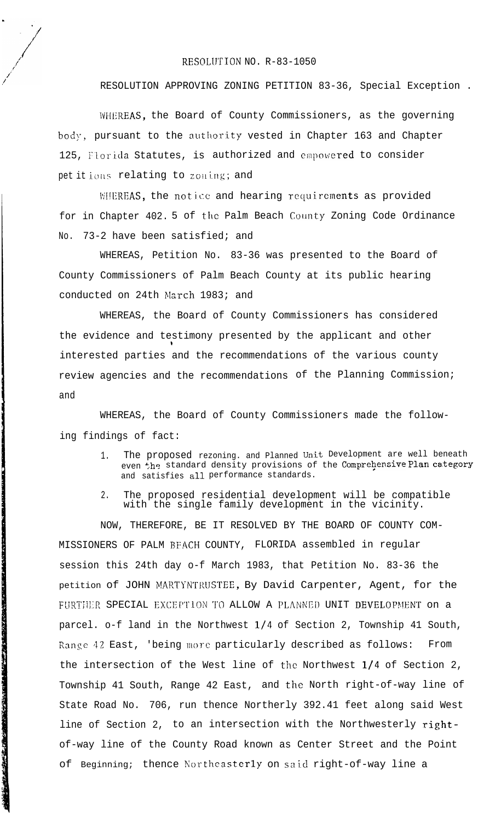## RESOLUTION NO. R-83-1050

RESOLUTION APPROVING ZONING PETITION 83-36, Special Exception .

WHEREAS, the Board of County Commissioners, as the governing body, pursuant to the authority vested in Chapter 163 and Chapter 125, Florida Statutes, is authorized and empowered to consider pet it jons relating to zoning; and

M!EREAS, the notice and hearing requirements as provided for in Chapter 402. 5 of the Palm Beach County Zoning Code Ordinance No. 73-2 have been satisfied; and

WHEREAS, Petition No. 83-36 was presented to the Board of County Commissioners of Palm Beach County at its public hearing conducted on 24th March 1983; and

WHEREAS, the Board of County Commissioners has considered the evidence and testimony presented by the applicant and other I interested parties and the recommendations of the various county review agencies and the recommendations of the Planning Commission; and

WHEREAS, the Board of County Commissioners made the following findings of fact:

- 1. The proposed rezoning. and Planned Unit Development are well beneath even the standard density provisions of the Comprehensive Plan category and satisfies al1 performance standards.
- 2. The proposed residential development will be compatible with the single family development in the vicinity.

NOW, THEREFORE, BE IT RESOLVED BY THE BOARD OF COUNTY COM-MISSIONERS OF PALM BFACH COUNTY, FLORIDA assembled in regular session this 24th day o-f March 1983, that Petition No. 83-36 the petition of JOHN MARTYNTRUSTEE, By David Carpenter, Agent, for the FURTHER SPECIAL EXCEPTION TO ALLOW A PLANNED UNIT DEVELOPMENT on a parcel. o-f land in the Northwest l/4 of Section 2, Township 41 South, Range 42 East, 'being more particularly described as follows: From the intersection of the West line of the Northwest l/4 of Section 2, Township 41 South, Range 42 East, and the North right-of-way line of State Road No. 706, run thence Northerly 392.41 feet along said West line of Section 2, to an intersection with the Northwesterly rightof-way line of the County Road known as Center Street and the Point of Beginning; thence Northeasterly on said right-of-way line a

ことに、ここに、それになっているので、「それに、このことは、そのことには、そのことになっていることに、私はいちは、それには、そのことに、このことは、そのことには、このことには、そのことは、そのことには このことに、ここに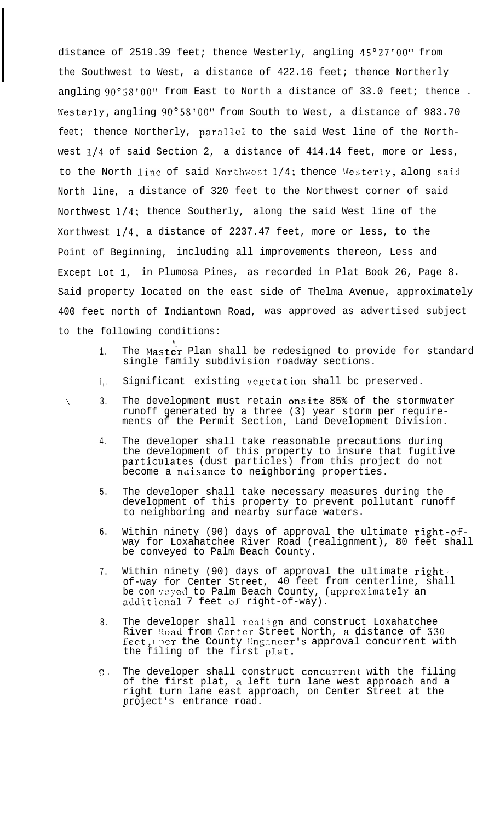distance of 2519.39 feet; thence Westerly, angling 45"27'00" from the Southwest to West, a distance of 422.16 feet; thence Northerly angling 90°5S'OO" from East to North a distance of 33.0 feet; thence . Westerly, angling 90°58'00" from South to West, a distance of 983.70 feet; thence Northerly, parallel to the said West line of the Northwest l/4 of said Section 2, a distance of 414.14 feet, more or less, to the North line of said Northwest  $1/4$ ; thence Westerly, along said North line, a distance of 320 feet to the Northwest corner of said Northwest l/4; thence Southerly, along the said West line of the Xorthwest l/4, a distance of 2237.47 feet, more or less, to the Point of Beginning, including all improvements thereon, Less and Except Lot 1, in Plumosa Pines, as recorded in Plat Book 26, Page 8. Said property located on the east side of Thelma Avenue, approximately 400 feet north of Indiantown Road, was approved as advertised subject to the following conditions:

- 1. The Master Plan shall be redesigned to provide for standard single family subdivision roadway sections.
- 7 , . Significant existing vcgctation shall bc preserved.
- $\sqrt{3}$ . The development must retain onsite 85% of the stormwater runoff generated by a three (3) year storm per requirements of the Permit Section, Land Development Division.
	- 4. The developer shall take reasonable precautions during the development of this property to insure that fugitive particulates (dust particles) from this project do not become a nuisance to neighboring properties.
	- 5. The developer shall take necessary measures during the development of this property to prevent pollutant runoff to neighboring and nearby surface waters.
	- 6. Within ninety (90) days of approval the ultimate  $\texttt{right-of}$ way for Loxahatchee River Road (realignment), 80 feet shall be conveyed to Palm Beach County.
	- 7. Within ninety (90) days of approval the ultimate  $\texttt{right} \cdot$ of-way for Center Street, 40 feet from centerline, shall be con veyed to Palm Beach County, (approximately an additio?1al 7 feet OF right-of-way).
	- 8. The developer shall realign and construct Loxahatchee River Road from Center Street North, a distance of 330 feet, per the County Engineer's approval concurrent with the filing of the first plat.
	- $\Omega$ . The developer shall construct concurrent with the filing of the first plat, a left turn lane west approach and a right turn lane east approach, on Center Street at the nroiect's entrance road.